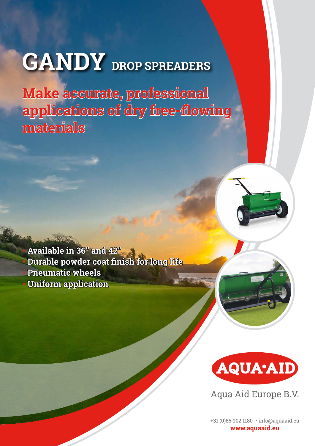## **GANDY** DROP SPREADERS

**Make accurate, professional applications of dry free-flowing materials**





Aqua Aid Europe B.V.

+31 (0)85 902 1180 • info@aquaaid.eu **www.aquaaid.eu**